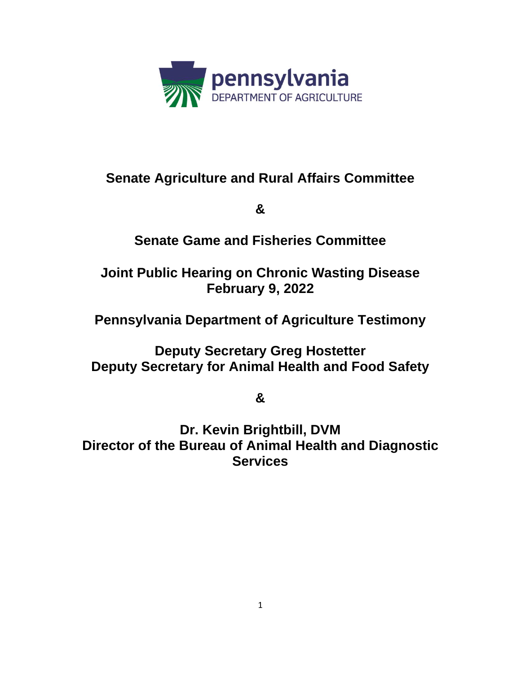

# **Senate Agriculture and Rural Affairs Committee**

**&**

# **Senate Game and Fisheries Committee**

# **Joint Public Hearing on Chronic Wasting Disease February 9, 2022**

# **Pennsylvania Department of Agriculture Testimony**

**Deputy Secretary Greg Hostetter Deputy Secretary for Animal Health and Food Safety**

**&**

**Dr. Kevin Brightbill, DVM Director of the Bureau of Animal Health and Diagnostic Services**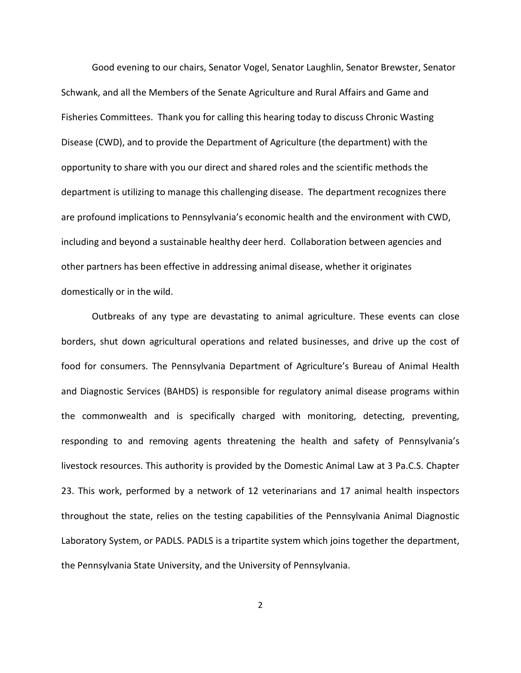Good evening to our chairs, Senator Vogel, Senator Laughlin, Senator Brewster, Senator Schwank, and all the Members of the Senate Agriculture and Rural Affairs and Game and Fisheries Committees. Thank you for calling this hearing today to discuss Chronic Wasting Disease (CWD), and to provide the Department of Agriculture (the department) with the opportunity to share with you our direct and shared roles and the scientific methods the department is utilizing to manage this challenging disease. The department recognizes there are profound implications to Pennsylvania's economic health and the environment with CWD, including and beyond a sustainable healthy deer herd. Collaboration between agencies and other partners has been effective in addressing animal disease, whether it originates domestically or in the wild.

Outbreaks of any type are devastating to animal agriculture. These events can close borders, shut down agricultural operations and related businesses, and drive up the cost of food for consumers. The Pennsylvania Department of Agriculture's Bureau of Animal Health and Diagnostic Services (BAHDS) is responsible for regulatory animal disease programs within the commonwealth and is specifically charged with monitoring, detecting, preventing, responding to and removing agents threatening the health and safety of Pennsylvania's livestock resources. This authority is provided by the Domestic Animal Law at 3 Pa.C.S. Chapter 23. This work, performed by a network of 12 veterinarians and 17 animal health inspectors throughout the state, relies on the testing capabilities of the Pennsylvania Animal Diagnostic Laboratory System, or PADLS. PADLS is a tripartite system which joins together the department, the Pennsylvania State University, and the University of Pennsylvania.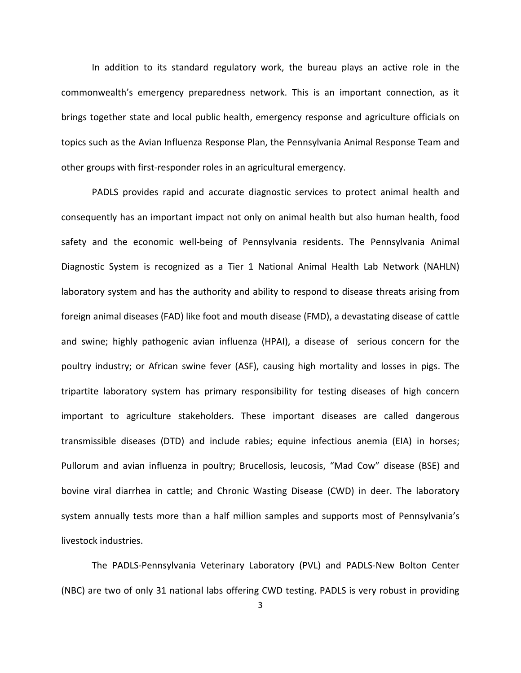In addition to its standard regulatory work, the bureau plays an active role in the commonwealth's emergency preparedness network. This is an important connection, as it brings together state and local public health, emergency response and agriculture officials on topics such as the Avian Influenza Response Plan, the Pennsylvania Animal Response Team and other groups with first-responder roles in an agricultural emergency.

PADLS provides rapid and accurate diagnostic services to protect animal health and consequently has an important impact not only on animal health but also human health, food safety and the economic well-being of Pennsylvania residents. The Pennsylvania Animal Diagnostic System is recognized as a Tier 1 National Animal Health Lab Network (NAHLN) laboratory system and has the authority and ability to respond to disease threats arising from foreign animal diseases (FAD) like foot and mouth disease (FMD), a devastating disease of cattle and swine; highly pathogenic avian influenza (HPAI), a disease of serious concern for the poultry industry; or African swine fever (ASF), causing high mortality and losses in pigs. The tripartite laboratory system has primary responsibility for testing diseases of high concern important to agriculture stakeholders. These important diseases are called dangerous transmissible diseases (DTD) and include rabies; equine infectious anemia (EIA) in horses; Pullorum and avian influenza in poultry; Brucellosis, leucosis, "Mad Cow" disease (BSE) and bovine viral diarrhea in cattle; and Chronic Wasting Disease (CWD) in deer. The laboratory system annually tests more than a half million samples and supports most of Pennsylvania's livestock industries.

The PADLS-Pennsylvania Veterinary Laboratory (PVL) and PADLS-New Bolton Center (NBC) are two of only 31 national labs offering CWD testing. PADLS is very robust in providing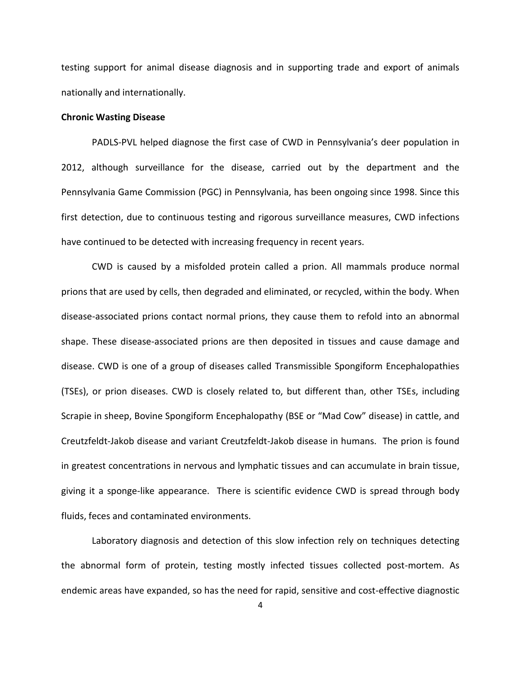testing support for animal disease diagnosis and in supporting trade and export of animals nationally and internationally.

### **Chronic Wasting Disease**

PADLS-PVL helped diagnose the first case of CWD in Pennsylvania's deer population in 2012, although surveillance for the disease, carried out by the department and the Pennsylvania Game Commission (PGC) in Pennsylvania, has been ongoing since 1998. Since this first detection, due to continuous testing and rigorous surveillance measures, CWD infections have continued to be detected with increasing frequency in recent years.

CWD is caused by a misfolded protein called a prion. All mammals produce normal prions that are used by cells, then degraded and eliminated, or recycled, within the body. When disease-associated prions contact normal prions, they cause them to refold into an abnormal shape. These disease-associated prions are then deposited in tissues and cause damage and disease. CWD is one of a group of diseases called Transmissible Spongiform Encephalopathies (TSEs), or prion diseases. CWD is closely related to, but different than, other TSEs, including Scrapie in sheep, Bovine Spongiform Encephalopathy (BSE or "Mad Cow" disease) in cattle, and Creutzfeldt-Jakob disease and variant Creutzfeldt-Jakob disease in humans.The prion is found in greatest concentrations in nervous and lymphatic tissues and can accumulate in brain tissue, giving it a sponge-like appearance. There is scientific evidence CWD is spread through body fluids, feces and contaminated environments.

Laboratory diagnosis and detection of this slow infection rely on techniques detecting the abnormal form of protein, testing mostly infected tissues collected post-mortem. As endemic areas have expanded, so has the need for rapid, sensitive and cost-effective diagnostic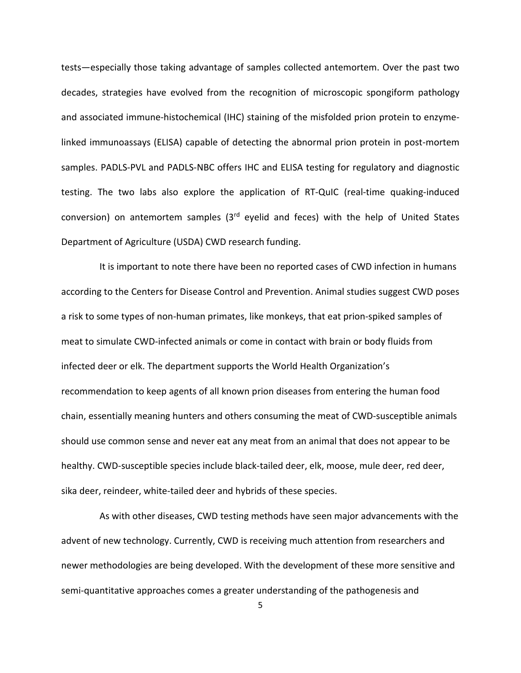tests—especially those taking advantage of samples collected antemortem. Over the past two decades, strategies have evolved from the recognition of microscopic spongiform pathology and associated immune-histochemical (IHC) staining of the misfolded prion protein to enzymelinked immunoassays (ELISA) capable of detecting the abnormal prion protein in post-mortem samples. PADLS-PVL and PADLS-NBC offers IHC and ELISA testing for regulatory and diagnostic testing. The two labs also explore the application of RT-QuIC (real-time quaking-induced conversion) on antemortem samples  $(3<sup>rd</sup>$  eyelid and feces) with the help of United States Department of Agriculture (USDA) CWD research funding.

It is important to note there have been no reported cases of CWD infection in humans according to the Centers for Disease Control and Prevention. Animal studies suggest CWD poses a risk to some types of non-human primates, like monkeys, that eat prion-spiked samples of meat to simulate [CWD-infected animals](https://www.cdc.gov/prions/cwd/cwd-animals.html) or come in contact with brain or body fluids from infected deer or elk. The department supports the World Health Organization's recommendation to keep agents of all known prion diseases from entering the human food chain, essentially meaning hunters and others consuming the meat of CWD-susceptible animals should use common sense and never eat any meat from an animal that does not appear to be healthy. CWD-susceptible species include black-tailed deer, elk, moose, mule deer, red deer, sika deer, reindeer, white-tailed deer and hybrids of these species.

As with other diseases, CWD testing methods have seen major advancements with the advent of new technology. Currently, CWD is receiving much attention from researchers and newer methodologies are being developed. With the development of these more sensitive and semi-quantitative approaches comes a greater understanding of the pathogenesis and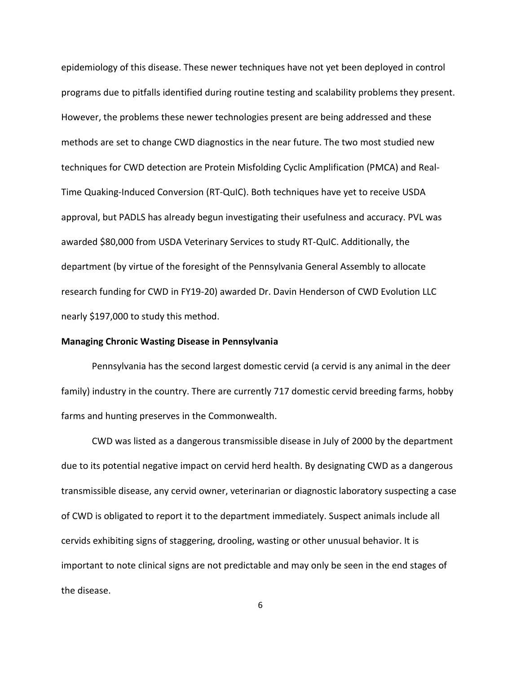epidemiology of this disease. These newer techniques have not yet been deployed in control programs due to pitfalls identified during routine testing and scalability problems they present. However, the problems these newer technologies present are being addressed and these methods are set to change CWD diagnostics in the near future. The two most studied new techniques for CWD detection are Protein Misfolding Cyclic Amplification (PMCA) and Real-Time Quaking-Induced Conversion (RT-QuIC). Both techniques have yet to receive USDA approval, but PADLS has already begun investigating their usefulness and accuracy. PVL was awarded \$80,000 from USDA Veterinary Services to study RT-QuIC. Additionally, the department (by virtue of the foresight of the Pennsylvania General Assembly to allocate research funding for CWD in FY19-20) awarded Dr. Davin Henderson of CWD Evolution LLC nearly \$197,000 to study this method.

### **Managing Chronic Wasting Disease in Pennsylvania**

Pennsylvania has the second largest domestic cervid (a cervid is any animal in the deer family) industry in the country. There are currently 717 domestic cervid breeding farms, hobby farms and hunting preserves in the Commonwealth.

CWD was listed as a dangerous transmissible disease in July of 2000 by the department due to its potential negative impact on cervid herd health. By designating CWD as a dangerous transmissible disease, any cervid owner, veterinarian or diagnostic laboratory suspecting a case of CWD is obligated to report it to the department immediately. Suspect animals include all cervids exhibiting signs of staggering, drooling, wasting or other unusual behavior. It is important to note clinical signs are not predictable and may only be seen in the end stages of the disease.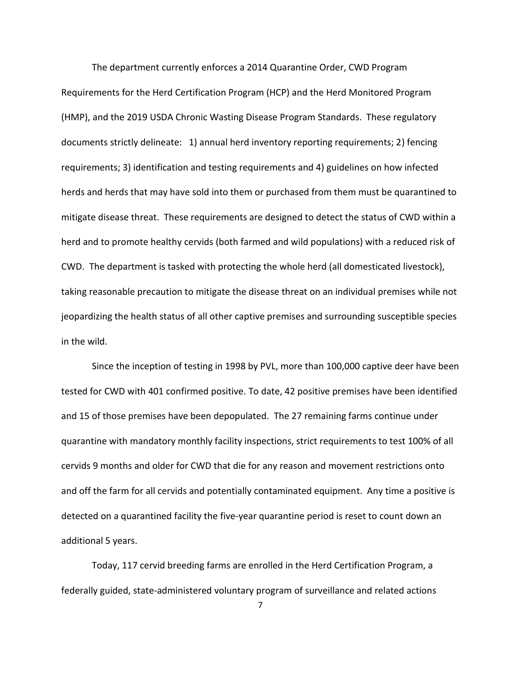The department currently enforces a 2014 Quarantine Order, CWD Program Requirements for the Herd Certification Program (HCP) and the Herd Monitored Program (HMP), and the 2019 USDA Chronic Wasting Disease Program Standards. These regulatory documents strictly delineate: 1) annual herd inventory reporting requirements; 2) fencing requirements; 3) identification and testing requirements and 4) guidelines on how infected herds and herds that may have sold into them or purchased from them must be quarantined to mitigate disease threat. These requirements are designed to detect the status of CWD within a herd and to promote healthy cervids (both farmed and wild populations) with a reduced risk of CWD. The department is tasked with protecting the whole herd (all domesticated livestock), taking reasonable precaution to mitigate the disease threat on an individual premises while not jeopardizing the health status of all other captive premises and surrounding susceptible species in the wild.

Since the inception of testing in 1998 by PVL, more than 100,000 captive deer have been tested for CWD with 401 confirmed positive. To date, 42 positive premises have been identified and 15 of those premises have been depopulated. The 27 remaining farms continue under quarantine with mandatory monthly facility inspections, strict requirements to test 100% of all cervids 9 months and older for CWD that die for any reason and movement restrictions onto and off the farm for all cervids and potentially contaminated equipment. Any time a positive is detected on a quarantined facility the five-year quarantine period is reset to count down an additional 5 years.

Today, 117 cervid breeding farms are enrolled in the Herd Certification Program, a federally guided, state-administered voluntary program of surveillance and related actions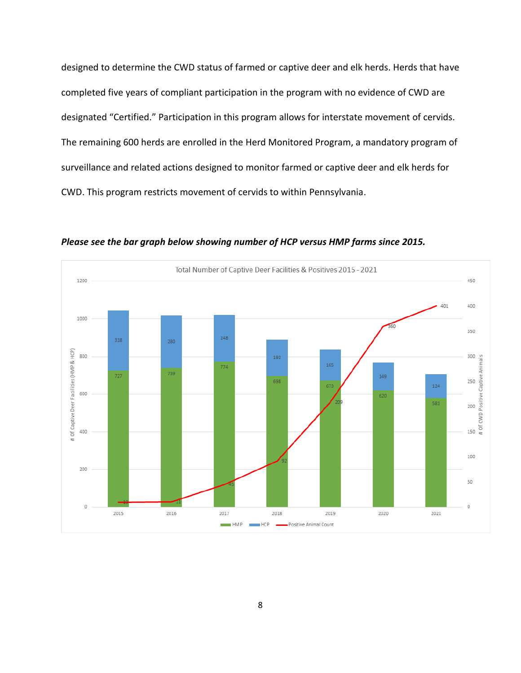designed to determine the CWD status of farmed or captive deer and elk herds. Herds that have completed five years of compliant participation in the program with no evidence of CWD are designated "Certified." Participation in this program allows for interstate movement of cervids. The remaining 600 herds are enrolled in the Herd Monitored Program, a mandatory program of surveillance and related actions designed to monitor farmed or captive deer and elk herds for CWD. This program restricts movement of cervids to within Pennsylvania.



*Please see the bar graph below showing number of HCP versus HMP farms since 2015.*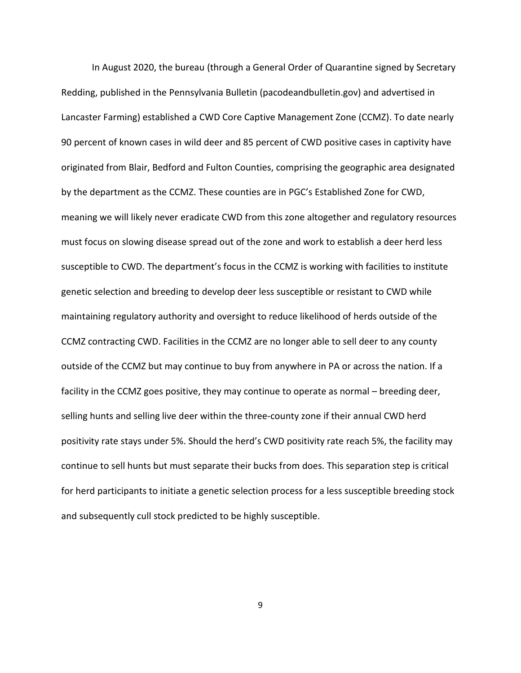In August 2020, the bureau (through a General Order of Quarantine signed by Secretary Redding, published in the Pennsylvania Bulletin (pacodeandbulletin.gov) and advertised in Lancaster Farming) established a CWD Core Captive Management Zone (CCMZ). To date nearly 90 percent of known cases in wild deer and 85 percent of CWD positive cases in captivity have originated from Blair, Bedford and Fulton Counties, comprising the geographic area designated by the department as the CCMZ. These counties are in PGC's Established Zone for CWD, meaning we will likely never eradicate CWD from this zone altogether and regulatory resources must focus on slowing disease spread out of the zone and work to establish a deer herd less susceptible to CWD. The department's focus in the CCMZ is working with facilities to institute genetic selection and breeding to develop deer less susceptible or resistant to CWD while maintaining regulatory authority and oversight to reduce likelihood of herds outside of the CCMZ contracting CWD. Facilities in the CCMZ are no longer able to sell deer to any county outside of the CCMZ but may continue to buy from anywhere in PA or across the nation. If a facility in the CCMZ goes positive, they may continue to operate as normal – breeding deer, selling hunts and selling live deer within the three-county zone if their annual CWD herd positivity rate stays under 5%. Should the herd's CWD positivity rate reach 5%, the facility may continue to sell hunts but must separate their bucks from does. This separation step is critical for herd participants to initiate a genetic selection process for a less susceptible breeding stock and subsequently cull stock predicted to be highly susceptible.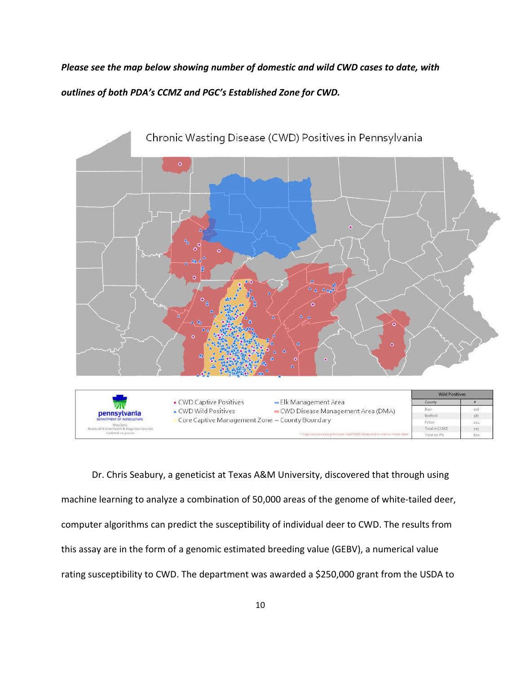*Please see the map below showing number of domestic and wild CWD cases to date, with outlines of both PDA's CCMZ and PGC's Established Zone for CWD.*



Dr. Chris Seabury, a geneticist at Texas A&M University, discovered that through using machine learning to analyze a combination of 50,000 areas of the genome of white-tailed deer, computer algorithms can predict the susceptibility of individual deer to CWD. The results from this assay are in the form of a genomic estimated breeding value (GEBV), a numerical value rating susceptibility to CWD. The department was awarded a \$250,000 grant from the USDA to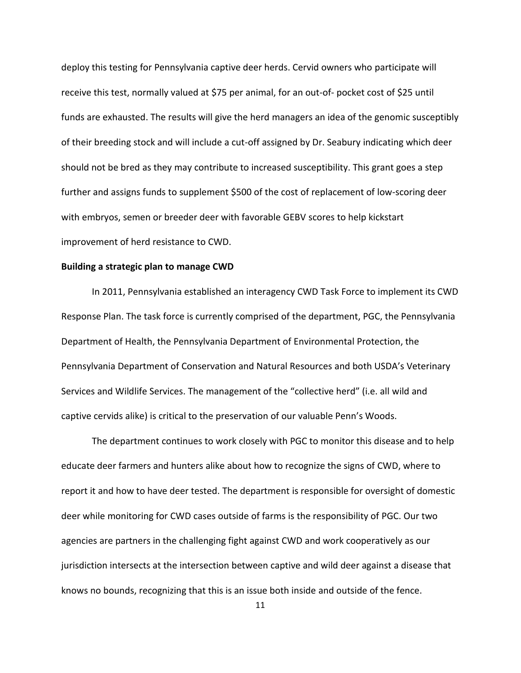deploy this testing for Pennsylvania captive deer herds. Cervid owners who participate will receive this test, normally valued at \$75 per animal, for an out-of- pocket cost of \$25 until funds are exhausted. The results will give the herd managers an idea of the genomic susceptibly of their breeding stock and will include a cut-off assigned by Dr. Seabury indicating which deer should not be bred as they may contribute to increased susceptibility. This grant goes a step further and assigns funds to supplement \$500 of the cost of replacement of low-scoring deer with embryos, semen or breeder deer with favorable GEBV scores to help kickstart improvement of herd resistance to CWD.

#### **Building a strategic plan to manage CWD**

In 2011, Pennsylvania established an interagency CWD Task Force to implement its CWD Response Plan. The task force is currently comprised of the department, PGC, the Pennsylvania Department of Health, the Pennsylvania Department of Environmental Protection, the Pennsylvania Department of Conservation and Natural Resources and both USDA's Veterinary Services and Wildlife Services. The management of the "collective herd" (i.e. all wild and captive cervids alike) is critical to the preservation of our valuable Penn's Woods.

The department continues to work closely with PGC to monitor this disease and to help educate deer farmers and hunters alike about how to recognize the signs of CWD, where to report it and how to have deer tested. The department is responsible for oversight of domestic deer while monitoring for CWD cases outside of farms is the responsibility of PGC. Our two agencies are partners in the challenging fight against CWD and work cooperatively as our jurisdiction intersects at the intersection between captive and wild deer against a disease that knows no bounds, recognizing that this is an issue both inside and outside of the fence.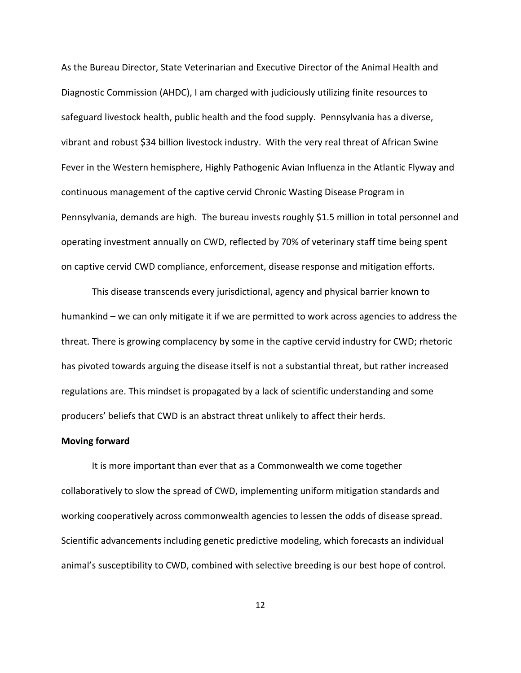As the Bureau Director, State Veterinarian and Executive Director of the Animal Health and Diagnostic Commission (AHDC), I am charged with judiciously utilizing finite resources to safeguard livestock health, public health and the food supply. Pennsylvania has a diverse, vibrant and robust \$34 billion livestock industry. With the very real threat of African Swine Fever in the Western hemisphere, Highly Pathogenic Avian Influenza in the Atlantic Flyway and continuous management of the captive cervid Chronic Wasting Disease Program in Pennsylvania, demands are high. The bureau invests roughly \$1.5 million in total personnel and operating investment annually on CWD, reflected by 70% of veterinary staff time being spent on captive cervid CWD compliance, enforcement, disease response and mitigation efforts.

This disease transcends every jurisdictional, agency and physical barrier known to humankind – we can only mitigate it if we are permitted to work across agencies to address the threat. There is growing complacency by some in the captive cervid industry for CWD; rhetoric has pivoted towards arguing the disease itself is not a substantial threat, but rather increased regulations are. This mindset is propagated by a lack of scientific understanding and some producers' beliefs that CWD is an abstract threat unlikely to affect their herds.

#### **Moving forward**

It is more important than ever that as a Commonwealth we come together collaboratively to slow the spread of CWD, implementing uniform mitigation standards and working cooperatively across commonwealth agencies to lessen the odds of disease spread. Scientific advancements including genetic predictive modeling, which forecasts an individual animal's susceptibility to CWD, combined with selective breeding is our best hope of control.